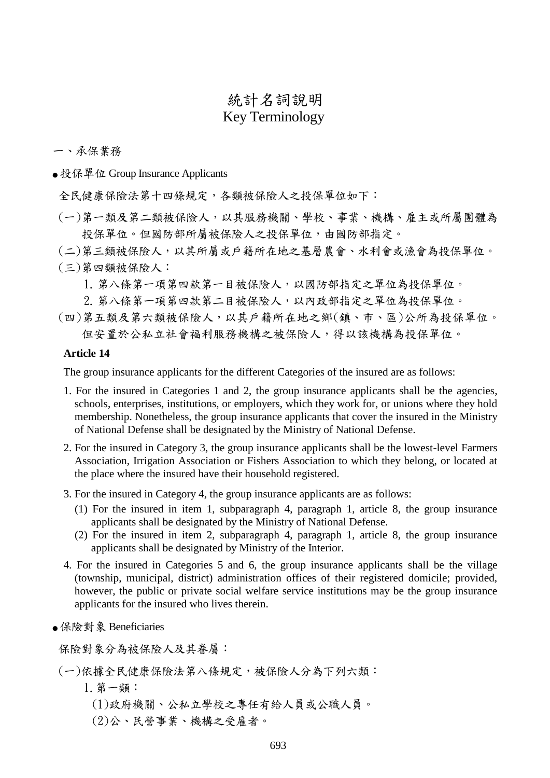# 統計名詞說明 Key Terminology

一、承保業務

● 投保單位 Group Insurance Applicants

全民健康保險法第十四條規定,各類被保險人之投保單位如下:

- (一)第一類及第二類被保險人,以其服務機關、學校、事業、機構、雇主或所屬團體為 投保單位。但國防部所屬被保險人之投保單位,由國防部指定。
- (二)第三類被保險人,以其所屬或戶籍所在地之基層農會、水利會或漁會為投保單位。 (三)第四類被保險人:
	- 1.第八條第一項第四款第一目被保險人,以國防部指定之單位為投保單位。
	- 2.第八條第一項第四款第二目被保險人,以內政部指定之單位為投保單位。
- (四)第五類及第六類被保險人,以其戶籍所在地之鄉(鎮、市、區)公所為投保單位。 但安置於公私立社會福利服務機構之被保險人,得以該機構為投保單位。

#### **Article 14**

The group insurance applicants for the different Categories of the insured are as follows:

- 1. For the insured in Categories 1 and 2, the group insurance applicants shall be the agencies, schools, enterprises, institutions, or employers, which they work for, or unions where they hold membership. Nonetheless, the group insurance applicants that cover the insured in the Ministry of National Defense shall be designated by the Ministry of National Defense.
- 2. For the insured in Category 3, the group insurance applicants shall be the lowest-level Farmers Association, Irrigation Association or Fishers Association to which they belong, or located at the place where the insured have their household registered.
- 3. For the insured in Category 4, the group insurance applicants are as follows:
	- (1) For the insured in item 1, subparagraph 4, paragraph 1, article 8, the group insurance applicants shall be designated by the Ministry of National Defense.
	- (2) For the insured in item 2, subparagraph 4, paragraph 1, article 8, the group insurance applicants shall be designated by Ministry of the Interior.
- 4. For the insured in Categories 5 and 6, the group insurance applicants shall be the village (township, municipal, district) administration offices of their registered domicile; provided, however, the public or private social welfare service institutions may be the group insurance applicants for the insured who lives therein.
- 保險對象 Beneficiaries

保險對象分為被保險人及其眷屬:

#### (一)依據全民健康保險法第八條規定,被保險人分為下列六類:

- 1.第一類:
	- (1)政府機關、公私立學校之專任有給人員或公職人員。
	- (2)公、民營事業、機構之受雇者。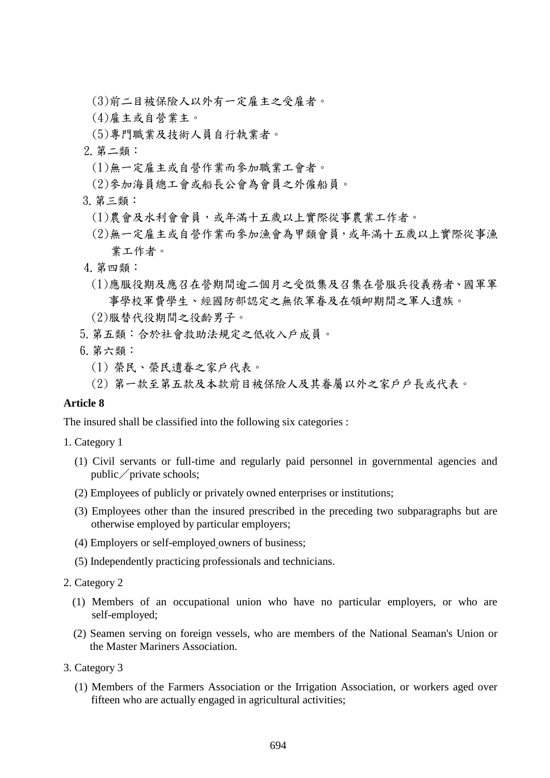- (3)前二目被保險人以外有一定雇主之受雇者。
- (4)雇主或自營業主。
- (5)專門職業及技術人員自行執業者。
- 2.第二類:
	- (1)無一定雇主或自營作業而參加職業工會者。
- (2)參加海員總工會或船長公會為會員之外僱船員。
- 3.第三類:
	- (1)農會及水利會會員,或年滿十五歲以上實際從事農業工作者。
	- (2)無一定雇主或自營作業而參加漁會為甲類會員,或年滿十五歲以上實際從事漁 業工作者。
- 4.第四類:
	- (1)應服役期及應召在營期間逾二個月之受徵集及召集在營服兵役義務者、國軍軍 事學校軍費學生、經國防部認定之無依軍眷及在領卹期間之軍人遺族。
- (2)服替代役期間之役齡男子。
- 5.第五類:合於社會救助法規定之低收入戶成員。
- 6.第六類:
	- (1) 榮民、榮民遺眷之家戶代表。
	- (2) 第一款至第五款及本款前目被保險人及其眷屬以外之家戶戶長或代表。

#### **Article 8**

The insured shall be classified into the following six categories :

- 1. Category 1
	- (1) Civil servants or full-time and regularly paid personnel in governmental agencies and  $public / private schools;$
	- (2) Employees of publicly or privately owned enterprises or institutions;
	- (3) Employees other than the insured prescribed in the preceding two subparagraphs but are otherwise employed by particular employers;
	- (4) Employers or self-employed owners of business;
	- (5) Independently practicing professionals and technicians.
- 2. Category 2
	- (1) Members of an occupational union who have no particular employers, or who are self-employed;
	- (2) Seamen serving on foreign vessels, who are members of the National Seaman's Union or the Master Mariners Association.
- 3. Category 3
	- (1) Members of the Farmers Association or the Irrigation Association, or workers aged over fifteen who are actually engaged in agricultural activities;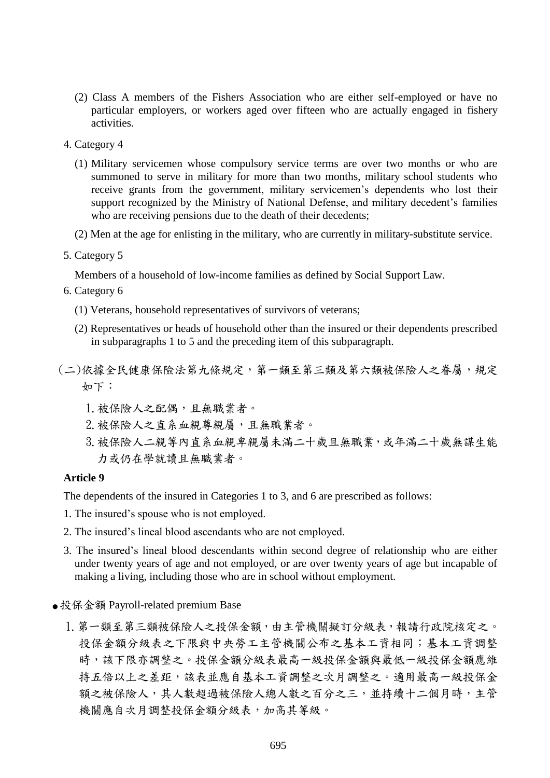- (2) Class A members of the Fishers Association who are either self-employed or have no particular employers, or workers aged over fifteen who are actually engaged in fishery activities.
- 4. Category 4
	- (1) Military servicemen whose compulsory service terms are over two months or who are summoned to serve in military for more than two months, military school students who receive grants from the government, military servicemen's dependents who lost their support recognized by the Ministry of National Defense, and military decedent's families who are receiving pensions due to the death of their decedents;
	- (2) Men at the age for enlisting in the military, who are currently in military-substitute service.
- 5. Category 5

Members of a household of low-income families as defined by Social Support Law.

- 6. Category 6
	- (1) Veterans, household representatives of survivors of veterans;
	- (2) Representatives or heads of household other than the insured or their dependents prescribed in subparagraphs 1 to 5 and the preceding item of this subparagraph.
- (二)依據全民健康保險法第九條規定,第一類至第三類及第六類被保險人之眷屬,規定 如下:
	- 1. 被保險人之配偶,且無職業者。
	- 2. 被保險人之直系血親尊親屬,且無職業者。
	- 3.被保險人二親等內直系血親卑親屬未滿二十歲且無職業,或年滿二十歲無謀生能 力或仍在學就讀且無職業者。

#### **Article 9**

The dependents of the insured in Categories 1 to 3, and 6 are prescribed as follows:

- 1. The insured's spouse who is not employed.
- 2. The insured's lineal blood ascendants who are not employed.
- 3. The insured's lineal blood descendants within second degree of relationship who are either under twenty years of age and not employed, or are over twenty years of age but incapable of making a living, including those who are in school without employment.
- 投保金額 Payroll-related premium Base
	- 1. 第一類至第三類被保險人之投保金額,由主管機關擬訂分級表,報請行政院核定之。 投保金額分級表之下限與中央勞工主管機關公布之基本工資相同;基本工資調整 時,該下限亦調整之。投保金額分級表最高一級投保金額與最低一級投保金額應維 持五倍以上之差距,該表並應自基本工資調整之次月調整之。適用最高一級投保金 額之被保險人,其人數超過被保險人總人數之百分之三,並持續十二個月時,主管 機關應自次月調整投保金額分級表,加高其等級。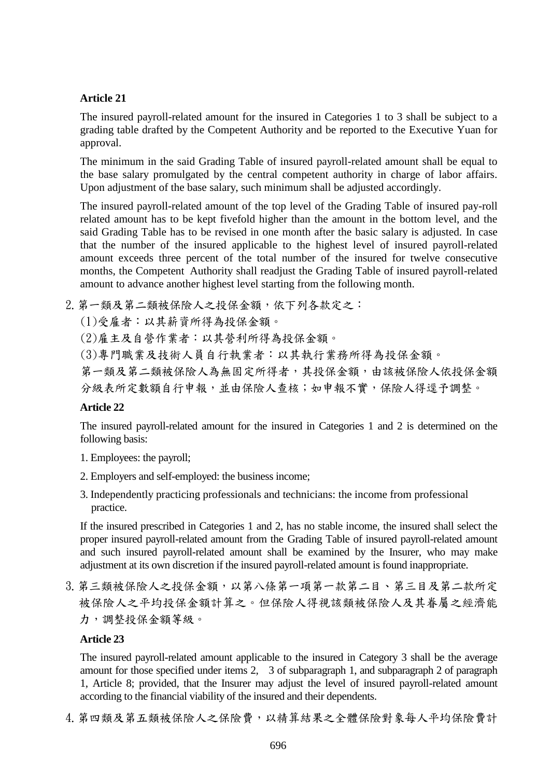## **Article 21**

The insured payroll-related amount for the insured in Categories 1 to 3 shall be subject to a grading table drafted by the Competent Authority and be reported to the Executive Yuan for approval.

The minimum in the said Grading Table of insured payroll-related amount shall be equal to the base salary promulgated by the central competent authority in charge of labor affairs. Upon adjustment of the base salary, such minimum shall be adjusted accordingly.

The insured payroll-related amount of the top level of the Grading Table of insured pay-roll related amount has to be kept fivefold higher than the amount in the bottom level, and the said Grading Table has to be revised in one month after the basic salary is adjusted. In case that the number of the insured applicable to the highest level of insured payroll-related amount exceeds three percent of the total number of the insured for twelve consecutive months, the Competent Authority shall readjust the Grading Table of insured payroll-related amount to advance another highest level starting from the following month.

2. 第一類及第二類被保險人之投保金額,依下列各款定之:

(1)受雇者:以其薪資所得為投保金額。

(2)雇主及自營作業者:以其營利所得為投保金額。

(3)專門職業及技術人員自行執業者:以其執行業務所得為投保金額。

第一類及第二類被保險人為無固定所得者,其投保金額,由該被保險人依投保金額 分級表所定數額自行申報,並由保險人查核;如申報不實,保險人得逕予調整。

### **Article 22**

The insured payroll-related amount for the insured in Categories 1 and 2 is determined on the following basis:

- 1. Employees: the payroll;
- 2. Employers and self-employed: the business income;
- 3. Independently practicing professionals and technicians: the income from professional practice.

If the insured prescribed in Categories 1 and 2, has no stable income, the insured shall select the proper insured payroll-related amount from the Grading Table of insured payroll-related amount and such insured payroll-related amount shall be examined by the Insurer, who may make adjustment at its own discretion if the insured payroll-related amount is found inappropriate.

3. 第三類被保險人之投保金額,以第八條第一項第一款第二目、第三目及第二款所定 被保險人之帄均投保金額計算之。但保險人得視該類被保險人及其眷屬之經濟能 力,調整投保金額等級。

### **Article 23**

The insured payroll-related amount applicable to the insured in Category 3 shall be the average amount for those specified under items 2, 3 of subparagraph 1, and subparagraph 2 of paragraph 1, Article 8; provided, that the Insurer may adjust the level of insured payroll-related amount according to the financial viability of the insured and their dependents.

4. 第四類及第五類被保險人之保險費, 以精算結果之全體保險對象每人平均保險費計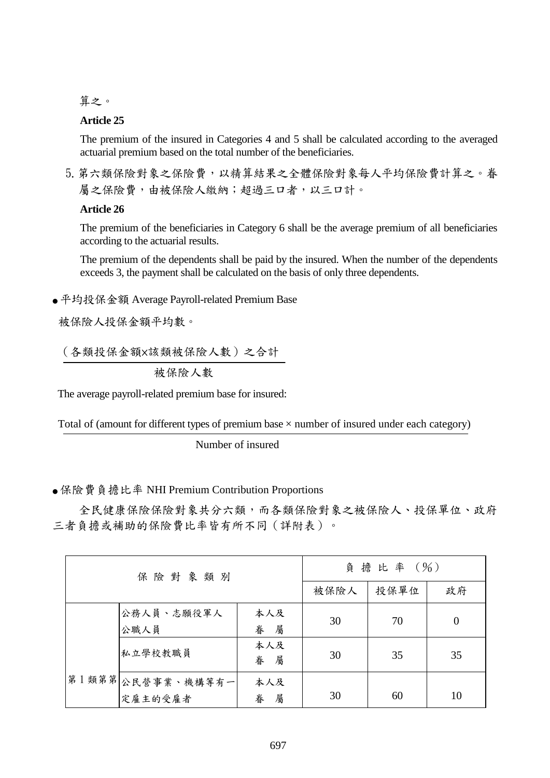算之。

### **Article 25**

The premium of the insured in Categories 4 and 5 shall be calculated according to the averaged actuarial premium based on the total number of the beneficiaries.

5. 第六類保險對象之保險費, 以精算結果之全體保險對象每人平均保險費計算之。眷 屬之保險費,由被保險人繳納;超過三口者,以三口計。

### **Article 26**

The premium of the beneficiaries in Category 6 shall be the average premium of all beneficiaries according to the actuarial results.

The premium of the dependents shall be paid by the insured. When the number of the dependents exceeds 3, the payment shall be calculated on the basis of only three dependents.

● 平均投保金額 Average Payroll-related Premium Base

被保險人投保金額平均數。

 $\ddot{\phantom{0}}$ (各類投保金額×該類被保險人數)之合計

被保險人數

The average payroll-related premium base for insured:

 $\overline{r}$  $\tilde{a}$ Total of (amount for different types of premium base  $\times$  number of insured under each category)

Number of insured

### ● 保險費負擔比率 NHI Premium Contribution Proportions

全民健康保險保險對象共分六類,而各類保險對象之被保險人、投保單位、政府 三者負擔或補助的保險費比率皆有所不同(詳附表)。

| 保險對象類別 |                              | 負擔比率 (%)      |      |    |          |
|--------|------------------------------|---------------|------|----|----------|
|        |                              | 被保險人          | 投保單位 | 政府 |          |
|        | 公務人員、志願役軍人<br>公職人員           | 本人及<br>眷<br>屬 | 30   | 70 | $\Omega$ |
|        | 私立學校教職員                      | 本人及<br>眷<br>屬 | 30   | 35 | 35       |
|        | 第1類第第 公民營事業、機構等有一<br>定雇主的受雇者 | 本人及<br>屬<br>眷 | 30   | 60 | 10       |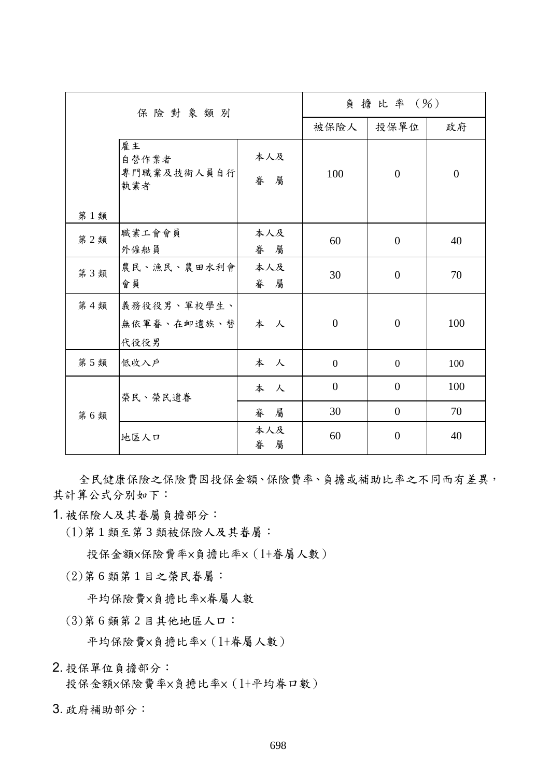| 保险對象類別 |                                    | 負擔比率 (%)      |                  |                |          |
|--------|------------------------------------|---------------|------------------|----------------|----------|
|        |                                    | 被保險人          | 投保單位             | 政府             |          |
| 第1類    | 雇主<br>自營作業者<br>專門職業及技術人員自行<br>執業者  | 本人及<br>眷<br>屬 | 100              | $\Omega$       | $\theta$ |
| 第2類    | 職業工會會員<br>外僱船員                     | 本人及<br>眷 屬    | 60               | $\overline{0}$ | 40       |
| 第3類    | 農民、漁民、農田水利會<br>會員                  | 本人及<br>眷 屬    | 30               | $\overline{0}$ | 70       |
| 第4類    | 義務役役男、軍校學生、<br>無依軍眷、在卹遺族、替<br>代役役男 | 本人            | $\boldsymbol{0}$ | $\overline{0}$ | 100      |
| 第5類    | 低收入户                               | 本人            | $\overline{0}$   | $\theta$       | 100      |
| 第6類    | 榮民、榮民遺眷                            | 本人            | $\overline{0}$   | $\theta$       | 100      |
|        |                                    | 眷<br>屬        | 30               | $\overline{0}$ | 70       |
|        | 地區人口                               | 本人及<br>眷<br>屬 | 60               | $\theta$       | 40       |

全民健康保險之保險費因投保金額、保險費率、負擔或補助比率之不同而有差異, 其計算公式分別如下:

1. 被保險人及其眷屬負擔部分:

(1)第 1 類至第 3 類被保險人及其眷屬:

投保金額×保險費率×負擔比率×(1+眷屬人數)

(2)第 6 類第 1 目之榮民眷屬:

帄均保險費×負擔比率×眷屬人數

(3)第 6 類第 2 目其他地區人口:

帄均保險費×負擔比率×(1+眷屬人數)

2. 投保單位負擔部分:

投保金額×保險費率×負擔比率×(1+平均眷口數)

3. 政府補助部分: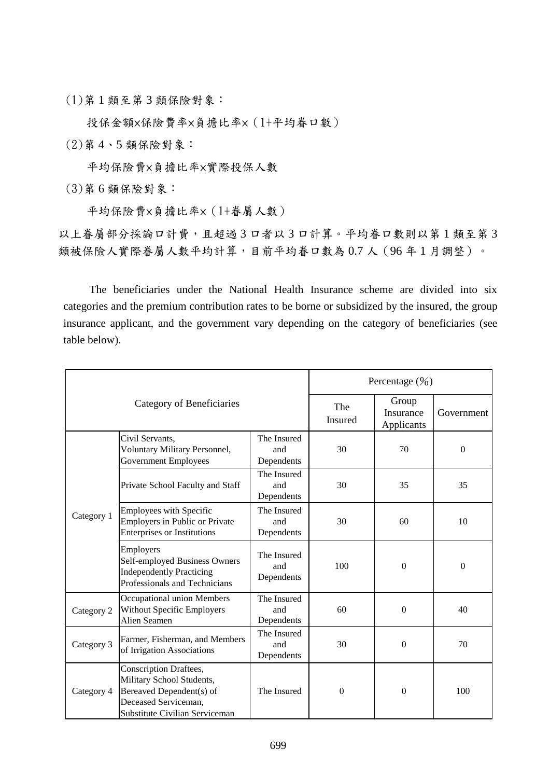(1)第 1 類至第 3 類保險對象:

投保金額×保險費率×負擔比率×(1+平均眷口數)

(2)第 4、5 類保險對象:

帄均保險費×負擔比率×實際投保人數

(3)第 6 類保險對象:

帄均保險費×負擔比率×(1+眷屬人數)

以上眷屬部分採論口計費,且超過3口者以3口計算。平均眷口數則以第1類至第3 類被保險人實際眷屬人數平均計算,目前平均眷口數為 0.7 人 (96年1月調整)。

The beneficiaries under the National Health Insurance scheme are divided into six categories and the premium contribution rates to be borne or subsidized by the insured, the group insurance applicant, and the government vary depending on the category of beneficiaries (see table below).

|                           |                                                                                                                                           | Percentage $(\frac{9}{0})$       |                  |                                  |              |
|---------------------------|-------------------------------------------------------------------------------------------------------------------------------------------|----------------------------------|------------------|----------------------------------|--------------|
| Category of Beneficiaries |                                                                                                                                           |                                  | The<br>Insured   | Group<br>Insurance<br>Applicants | Government   |
| Category 1                | Civil Servants,<br>Voluntary Military Personnel,<br><b>Government Employees</b>                                                           | The Insured<br>and<br>Dependents | 30               | 70                               | $\Omega$     |
|                           | Private School Faculty and Staff                                                                                                          | The Insured<br>and<br>Dependents | 30               | 35                               | 35           |
|                           | Employees with Specific<br><b>Employers in Public or Private</b><br><b>Enterprises or Institutions</b>                                    | The Insured<br>and<br>Dependents | 30               | 60                               | 10           |
|                           | Employers<br>Self-employed Business Owners<br><b>Independently Practicing</b><br>Professionals and Technicians                            | The Insured<br>and<br>Dependents | 100              | $\theta$                         | $\mathbf{0}$ |
| Category 2                | Occupational union Members<br><b>Without Specific Employers</b><br>Alien Seamen                                                           | The Insured<br>and<br>Dependents | 60               | $\overline{0}$                   | 40           |
| Category 3                | Farmer, Fisherman, and Members<br>of Irrigation Associations                                                                              | The Insured<br>and<br>Dependents | 30               | 0                                | 70           |
| Category 4                | Conscription Draftees,<br>Military School Students,<br>Bereaved Dependent(s) of<br>Deceased Serviceman,<br>Substitute Civilian Serviceman | The Insured                      | $\boldsymbol{0}$ | $\mathbf{0}$                     | 100          |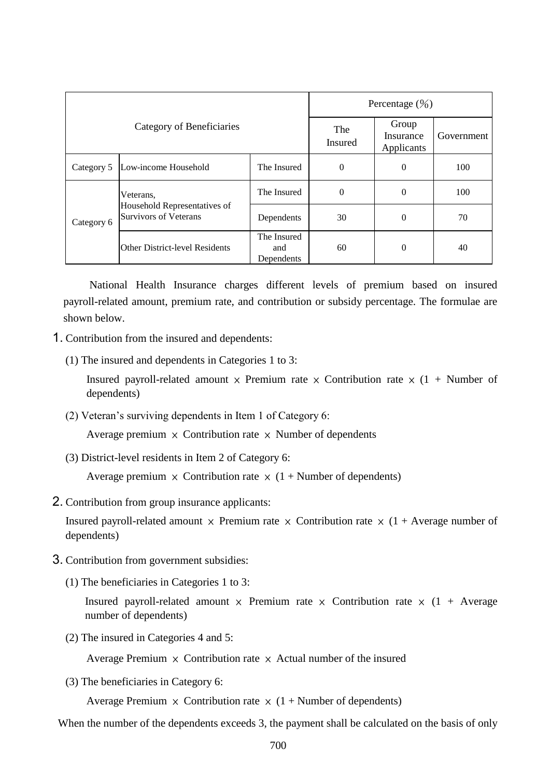| Category of Beneficiaries |                                                                           |                                  | Percentage $(\frac{9}{0})$ |                                  |            |  |
|---------------------------|---------------------------------------------------------------------------|----------------------------------|----------------------------|----------------------------------|------------|--|
|                           |                                                                           |                                  | The<br>Insured             | Group<br>Insurance<br>Applicants | Government |  |
| Category 5                | Low-income Household                                                      | The Insured                      | 0                          | $\theta$                         | 100        |  |
| Category 6                | Veterans,<br>Household Representatives of<br><b>Survivors of Veterans</b> | The Insured                      | $\overline{0}$             | $\theta$                         | 100        |  |
|                           |                                                                           | Dependents                       | 30                         | $\theta$                         | 70         |  |
|                           | <b>Other District-level Residents</b>                                     | The Insured<br>and<br>Dependents | 60                         | $\theta$                         | 40         |  |

National Health Insurance charges different levels of premium based on insured payroll-related amount, premium rate, and contribution or subsidy percentage. The formulae are shown below.

- 1. Contribution from the insured and dependents:
	- (1) The insured and dependents in Categories 1 to 3:

Insured payroll-related amount  $\times$  Premium rate  $\times$  Contribution rate  $\times$  (1 + Number of dependents)

(2) Veteran's surviving dependents in Item 1 of Category 6:

Average premium  $\times$  Contribution rate  $\times$  Number of dependents

(3) District-level residents in Item 2 of Category 6:

Average premium  $\times$  Contribution rate  $\times$  (1 + Number of dependents)

2. Contribution from group insurance applicants:

Insured payroll-related amount  $\times$  Premium rate  $\times$  Contribution rate  $\times$  (1 + Average number of dependents)

- 3. Contribution from government subsidies:
	- (1) The beneficiaries in Categories 1 to 3:

Insured payroll-related amount  $\times$  Premium rate  $\times$  Contribution rate  $\times$  (1 + Average number of dependents)

(2) The insured in Categories 4 and 5:

Average Premium  $\times$  Contribution rate  $\times$  Actual number of the insured

(3) The beneficiaries in Category 6:

Average Premium  $\times$  Contribution rate  $\times$  (1 + Number of dependents)

When the number of the dependents exceeds 3, the payment shall be calculated on the basis of only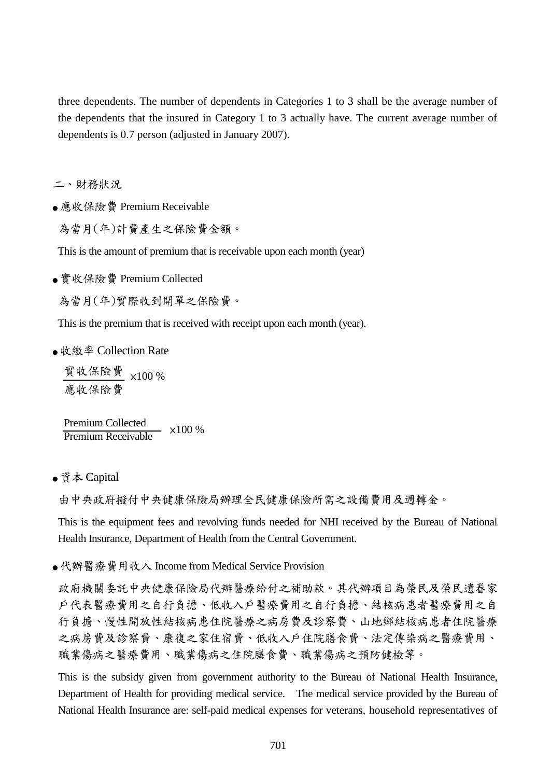three dependents. The number of dependents in Categories 1 to 3 shall be the average number of the dependents that the insured in Category 1 to 3 actually have. The current average number of dependents is 0.7 person (adjusted in January 2007).

二、財務狀況

● 應收保險費 Premium Receivable

為當月(年)計費產生之保險費金額。

This is the amount of premium that is receivable upon each month (year)

● 實收保險費 Premium Collected

為當月(年)實際收到開單之保險費。

This is the premium that is received with receipt upon each month (year).

● 收繳率 Collection Rate

實收保險費 ×100 % 應收保險費

Premium Collected Premium Receivable ×100 %

● 資本 Capital

由中央政府撥付中央健康保險局辦理全民健康保險所需之設備費用及週轉金。

This is the equipment fees and revolving funds needed for NHI received by the Bureau of National Health Insurance, Department of Health from the Central Government.

●代辦醫療費用收入 Income from Medical Service Provision

政府機關委託中央健康保險局代辦醫療給付之補助款。其代辦項目為榮民及榮民遺眷家 戶代表醫療費用之自行負擔、低收入戶醫療費用之自行負擔、結核病患者醫療費用之自 行負擔、慢性開放性結核病患住院醫療之病房費及診察費、山地鄉結核病患者住院醫療 之病房費及診察費、康復之家住宿費、低收入戶住院膳食費、法定傳染病之醫療費用、 職業傷病之醫療費用、職業傷病之住院膳食費、職業傷病之預防健檢等。

This is the subsidy given from government authority to the Bureau of National Health Insurance, Department of Health for providing medical service. The medical service provided by the Bureau of National Health Insurance are: self-paid medical expenses for veterans, household representatives of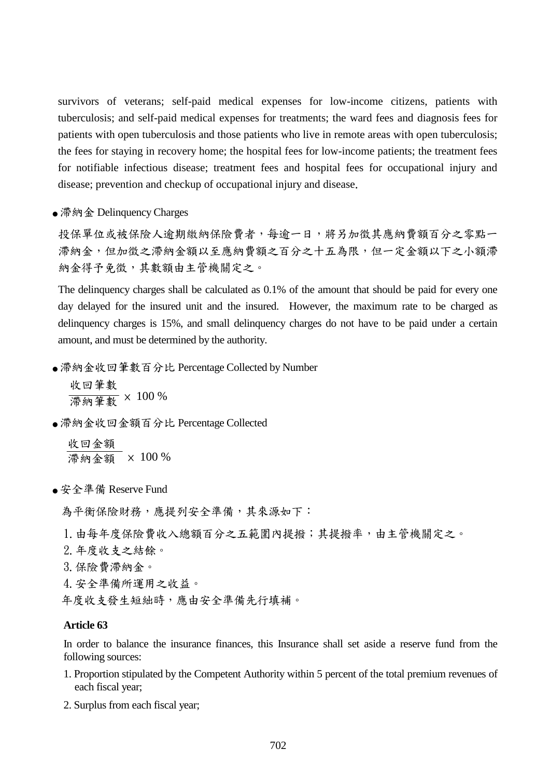survivors of veterans; self-paid medical expenses for low-income citizens, patients with tuberculosis; and self-paid medical expenses for treatments; the ward fees and diagnosis fees for patients with open tuberculosis and those patients who live in remote areas with open tuberculosis; the fees for staying in recovery home; the hospital fees for low-income patients; the treatment fees for notifiable infectious disease; treatment fees and hospital fees for occupational injury and disease; prevention and checkup of occupational injury and disease.

● 滯納金 Delinquency Charges

投保單位或被保險人逾期繳納保險費者,每逾一日,將另加徵其應納費額百分之零點一 滯納金,但加徵之滯納金額以至應納費額之百分之十五為限,但一定金額以下之小額滯 納金得予免徵,其數額由主管機關定之。

The delinquency charges shall be calculated as 0.1% of the amount that should be paid for every one day delayed for the insured unit and the insured. However, the maximum rate to be charged as delinquency charges is 15%, and small delinquency charges do not have to be paid under a certain amount, and must be determined by the authority.

● 滞納金收回筆數百分比 Percentage Collected by Number

收回筆數 滯納筆數 <sup>×</sup> <sup>100</sup> %

● 滯納金收回金額百分比 Percentage Collected

收回金額 滯納金額 × 100 %

● 安全準備 Reserve Fund

為平衡保險財務,應提列安全準備,其來源如下:

- 1.由每年度保險費收入總額百分之五範圍內提撥;其提撥率,由主管機關定之。
- 2.年度收支之結餘。
- 3.保險費滯納金。
- 4.安全準備所運用之收益。

年度收支發生短絀時,應由安全準備先行填補。

#### **Article 63**

In order to balance the insurance finances, this Insurance shall set aside a reserve fund from the following sources:

- 1. Proportion stipulated by the Competent Authority within 5 percent of the total premium revenues of each fiscal year;
- 2. Surplus from each fiscal year;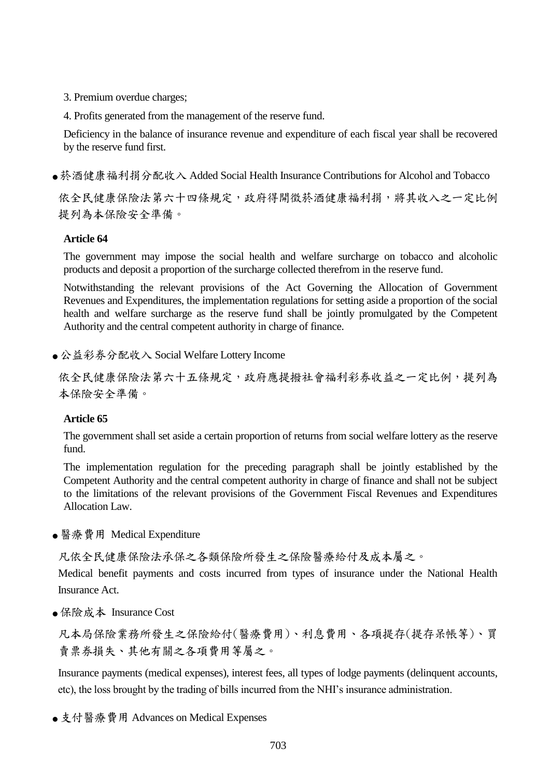- 3. Premium overdue charges;
- 4. Profits generated from the management of the reserve fund.

Deficiency in the balance of insurance revenue and expenditure of each fiscal year shall be recovered by the reserve fund first.

● 菸酒健康福利捐分配收入 Added Social Health Insurance Contributions for Alcohol and Tobacco

依全民健康保險法第六十四條規定,政府得開徵菸酒健康福利捐,將其收入之一定比例 提列為本保險安全準備。

## **Article 64**

The government may impose the social health and welfare surcharge on tobacco and alcoholic products and deposit a proportion of the surcharge collected therefrom in the reserve fund.

Notwithstanding the relevant provisions of the Act Governing the Allocation of Government Revenues and Expenditures, the implementation regulations for setting aside a proportion of the social health and welfare surcharge as the reserve fund shall be jointly promulgated by the Competent Authority and the central competent authority in charge of finance.

● 公益彩券分配收入 Social Welfare Lottery Income

依全民健康保險法第六十五條規定,政府應提撥社會福利彩券收益之一定比例,提列為 本保險安全準備。

## **Article 65**

The government shall set aside a certain proportion of returns from social welfare lottery as the reserve fund.

The implementation regulation for the preceding paragraph shall be jointly established by the Competent Authority and the central competent authority in charge of finance and shall not be subject to the limitations of the relevant provisions of the Government Fiscal Revenues and Expenditures Allocation Law.

● 醫療費用 Medical Expenditure

凡依全民健康保險法承保之各類保險所發生之保險醫療給付及成本屬之。

Medical benefit payments and costs incurred from types of insurance under the National Health Insurance Act.

● 保險成本 Insurance Cost

凡本局保險業務所發生之保險給付(醫療費用)、利息費用、各項提存(提存呆帳等)、買 賣票券損失、其他有關之各項費用等屬之。

Insurance payments (medical expenses), interest fees, all types of lodge payments (delinquent accounts, etc), the loss brought by the trading of bills incurred from the NHI's insurance administration.

● 支付醫療費用 Advances on Medical Expenses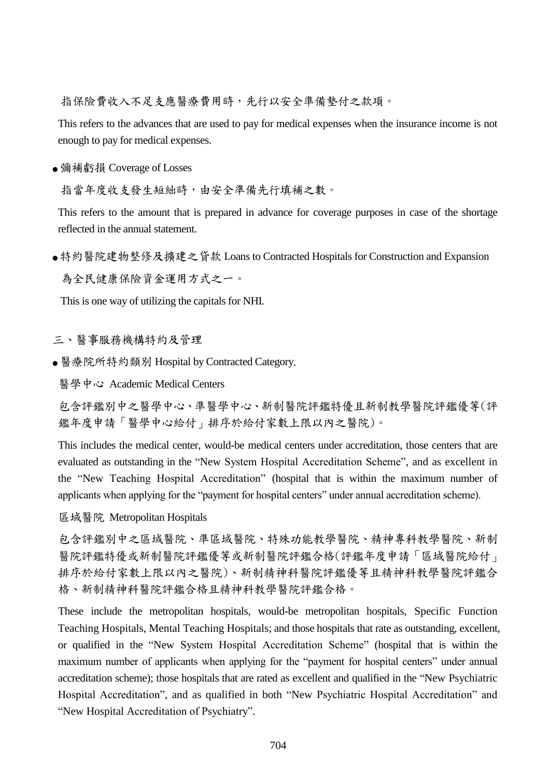指保險費收入不足支應醫療費用時,先行以安全準備墊付之款項。

This refers to the advances that are used to pay for medical expenses when the insurance income is not enough to pay for medical expenses.

● 彌補虧損 Coverage of Losses

指當年度收支發生短絀時,由安全準備先行填補之數。

This refers to the amount that is prepared in advance for coverage purposes in case of the shortage reflected in the annual statement.

● 特約醫院建物整修及擴建之貸款 Loans to Contracted Hospitals for Construction and Expansion 為全民健康保險資金運用方式之一。

This is one way of utilizing the capitals for NHI.

三、醫事服務機構特約及管理

● 醫療院所特約類別 Hospital by Contracted Category.

醫學中心 Academic Medical Centers

包含評鑑別中之醫學中心、準醫學中心、新制醫院評鑑特優且新制教學醫院評鑑優等(評 鑑年度申請「醫學中心給付」排序於給付家數上限以內之醫院)。

This includes the medical center, would-be medical centers under accreditation, those centers that are evaluated as outstanding in the "New System Hospital Accreditation Scheme", and as excellent in the "New Teaching Hospital Accreditation" (hospital that is within the maximum number of applicants when applying for the "payment for hospital centers" under annual accreditation scheme).

區域醫院 Metropolitan Hospitals

包含評鑑別中之區域醫院、準區域醫院、特殊功能教學醫院、精神專科教學醫院、新制 醫院評鑑特優或新制醫院評鑑優等或新制醫院評鑑合格(評鑑年度申請「區域醫院給付」 排序於給付家數上限以內之醫院)、新制精神科醫院評鑑優等且精神科教學醫院評鑑合 格、新制精神科醫院評鑑合格且精神科教學醫院評鑑合格。

These include the metropolitan hospitals, would-be metropolitan hospitals, Specific Function Teaching Hospitals, Mental Teaching Hospitals; and those hospitals that rate as outstanding, excellent, or qualified in the "New System Hospital Accreditation Scheme" (hospital that is within the maximum number of applicants when applying for the "payment for hospital centers" under annual accreditation scheme); those hospitals that are rated as excellent and qualified in the "New Psychiatric Hospital Accreditation", and as qualified in both "New Psychiatric Hospital Accreditation" and "New Hospital Accreditation of Psychiatry".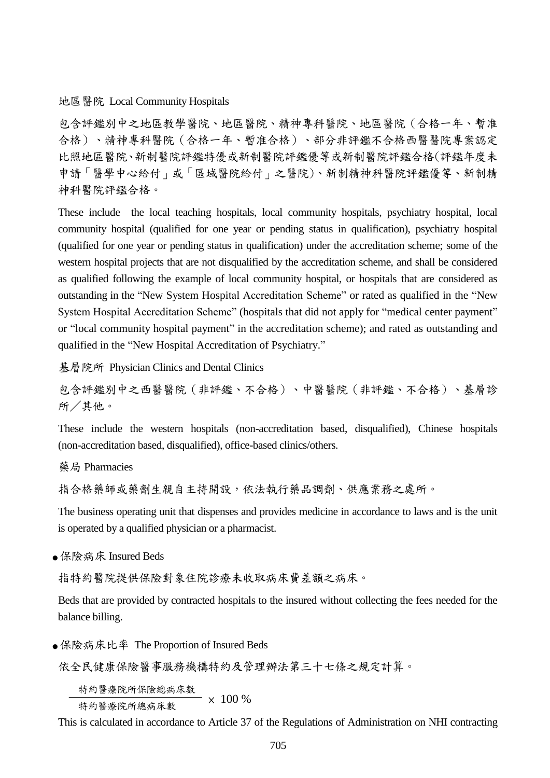地區醫院 Local Community Hospitals

包含評鑑別中之地區教學醫院、地區醫院、精神專科醫院、地區醫院(合格一年、暫准 合格)、精神專科醫院(合格一年、暫准合格)、部分非評鑑不合格西醫醫院專案認定 比照地區醫院、新制醫院評鑑特優或新制醫院評鑑優等或新制醫院評鑑合格(評鑑年度未 申請「醫學中心給付」或「區域醫院給付」之醫院)、新制精神科醫院評鑑優等、新制精 神科醫院評鑑合格。

These include the local teaching hospitals, local community hospitals, psychiatry hospital, local community hospital (qualified for one year or pending status in qualification), psychiatry hospital (qualified for one year or pending status in qualification) under the accreditation scheme; some of the western hospital projects that are not disqualified by the accreditation scheme, and shall be considered as qualified following the example of local community hospital, or hospitals that are considered as outstanding in the "New System Hospital Accreditation Scheme" or rated as qualified in the "New System Hospital Accreditation Scheme" (hospitals that did not apply for "medical center payment" or "local community hospital payment" in the accreditation scheme); and rated as outstanding and qualified in the "New Hospital Accreditation of Psychiatry."

基層院所 Physician Clinics and Dental Clinics

包含評鑑別中之西醫醫院(非評鑑、不合格)、中醫醫院(非評鑑、不合格)、基層診 所/其他。

These include the western hospitals (non-accreditation based, disqualified), Chinese hospitals (non-accreditation based, disqualified), office-based clinics/others.

藥局 Pharmacies

指合格藥師或藥劑生親自主持開設,依法執行藥品調劑、供應業務之處所。

The business operating unit that dispenses and provides medicine in accordance to laws and is the unit is operated by a qualified physician or a pharmacist.

● 保險病床 Insured Beds

指特約醫院提供保險對象住院診療未收取病床費差額之病床。

Beds that are provided by contracted hospitals to the insured without collecting the fees needed for the balance billing.

● 保險病床比率 The Proportion of Insured Beds

依全民健康保險醫事服務機構特約及管理辦法第三十七條之規定計算。

特約醫療院所保險總病床數

特約醫療院所總病床數 × 100 %

This is calculated in accordance to Article 37 of the Regulations of Administration on NHI contracting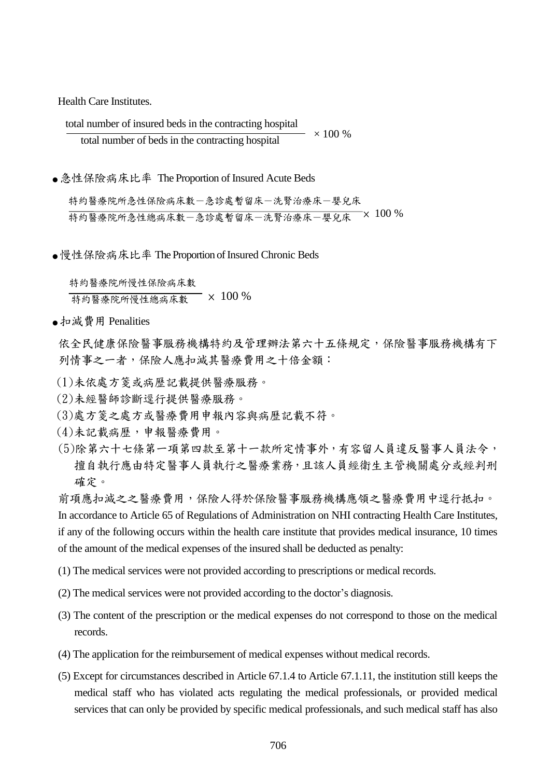Health Care Institutes.

total number of insured beds in the contracting hospital total number of beds in the contracting hospital  $\times$  100 %

● 急性保險病床比率 The Proportion of Insured Acute Beds

特約醫療院所急性保險病床數一急診處暫留床一洗腎治療床一嬰兒床 特約醫療院所急性總病床數-急診處暫留床-洗腎治療床-嬰兒床 × 100 %

● 慢性保險病床比率 The Proportion of Insured Chronic Beds

 特約醫療院所慢性保險病床數 **布勒醫療院所慢性總病床數 × 100 %** 

● 扣減費用 Penalities

依全民健康保險醫事服務機構特約及管理辦法第六十五條規定,保險醫事服務機構有下 列情事之一者,保險人應扣減其醫療費用之十倍金額:

- (1)未依處方箋或病歷記載提供醫療服務。
- (2)未經醫師診斷逕行提供醫療服務。
- (3)處方箋之處方或醫療費用申報內容與病歷記載不符。
- (4)未記載病歷,申報醫療費用。
- (5)除第六十七條第一項第四款至第十一款所定情事外,有容留人員違反醫事人員法令, 擅自執行應由特定醫事人員執行之醫療業務,且該人員經衛生主管機關處分或經判刑 確定。

前項應扣減之之醫療費用,保險人得於保險醫事服務機構應領之醫療費用中逕行抵扣。 In accordance to Article 65 of Regulations of Administration on NHI contracting Health Care Institutes, if any of the following occurs within the health care institute that provides medical insurance, 10 times of the amount of the medical expenses of the insured shall be deducted as penalty:

(1) The medical services were not provided according to prescriptions or medical records.

- (2) The medical services were not provided according to the doctor's diagnosis.
- (3) The content of the prescription or the medical expenses do not correspond to those on the medical records.
- (4) The application for the reimbursement of medical expenses without medical records.
- (5) Except for circumstances described in Article 67.1.4 to Article 67.1.11, the institution still keeps the medical staff who has violated acts regulating the medical professionals, or provided medical services that can only be provided by specific medical professionals, and such medical staff has also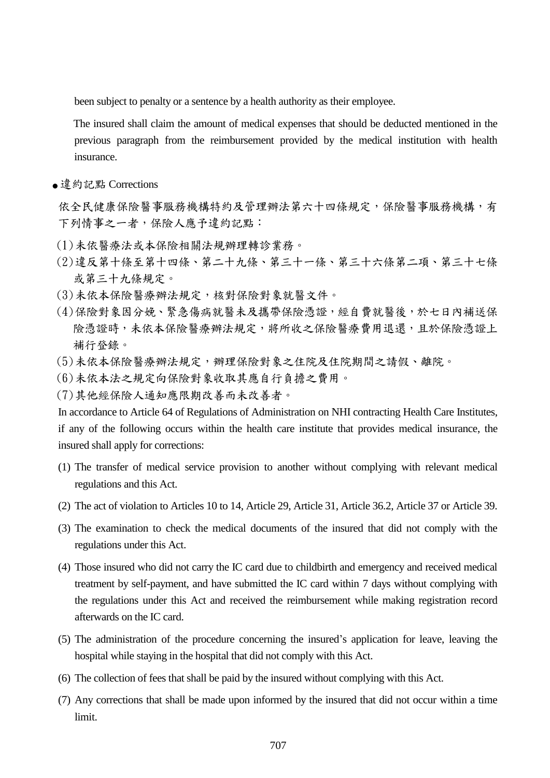been subject to penalty or a sentence by a health authority as their employee.

 The insured shall claim the amount of medical expenses that should be deducted mentioned in the previous paragraph from the reimbursement provided by the medical institution with health insurance.

● 違約記點 Corrections

依全民健康保險醫事服務機構特約及管理辦法第六十四條規定,保險醫事服務機構,有 下列情事之一者,保險人應予違約記點:

- (1)未依醫療法或本保險相關法規辦理轉診業務。
- (2)違反第十條至第十四條、第二十九條、第三十一條、第三十六條第二項、第三十七條 或第三十九條規定。
- (3)未依本保險醫療辦法規定,核對保險對象就醫文件。
- (4)保險對象因分娩、緊急傷病就醫未及攜帶保險憑證,經自費就醫後,於七日內補送保 險憑證時,未依本保險醫療辦法規定,將所收之保險醫療費用退還,且於保險憑證上 補行登錄。
- (5)未依本保險醫療辦法規定,辦理保險對象之住院及住院期間之請假、離院。
- (6)未依本法之規定向保險對象收取其應自行負擔之費用。
- (7)其他經保險人通知應限期改善而未改善者。

In accordance to Article 64 of Regulations of Administration on NHI contracting Health Care Institutes, if any of the following occurs within the health care institute that provides medical insurance, the insured shall apply for corrections:

- (1) The transfer of medical service provision to another without complying with relevant medical regulations and this Act.
- (2) The act of violation to Articles 10 to 14, Article 29, Article 31, Article 36.2, Article 37 or Article 39.
- (3) The examination to check the medical documents of the insured that did not comply with the regulations under this Act.
- (4) Those insured who did not carry the IC card due to childbirth and emergency and received medical treatment by self-payment, and have submitted the IC card within 7 days without complying with the regulations under this Act and received the reimbursement while making registration record afterwards on the IC card.
- (5) The administration of the procedure concerning the insured's application for leave, leaving the hospital while staying in the hospital that did not comply with this Act.
- (6) The collection of fees that shall be paid by the insured without complying with this Act.
- (7) Any corrections that shall be made upon informed by the insured that did not occur within a time limit.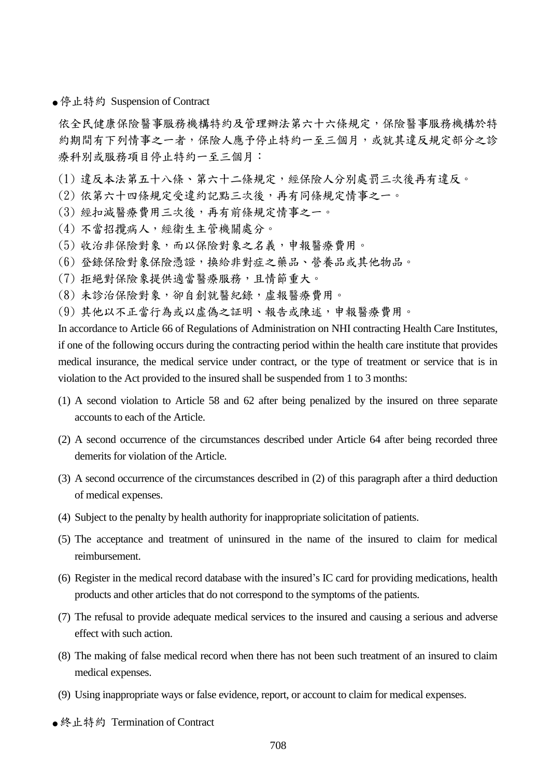● 停止特約 Suspension of Contract

依全民健康保險醫事服務機構特約及管理辦法第六十六條規定,保險醫事服務機構於特 約期間有下列情事之一者,保險人應予停止特約一至三個月,或就其違反規定部分之診 療科別或服務項目停止特約一至三個月:

- (1) 違反本法第五十八條、第六十二條規定,經保險人分別處罰三次後再有違反。
- (2) 依第六十四條規定受違約記點三次後,再有同條規定情事之一。
- (3) 經扣減醫療費用三次後,再有前條規定情事之一。
- (4) 不當招攬病人,經衛生主管機關處分。
- (5) 收治非保險對象,而以保險對象之名義,申報醫療費用。
- (6) 登錄保險對象保險憑證,換給非對症之藥品、營養品或其他物品。
- (7) 拒絕對保險象提供適當醫療服務,且情節重大。
- (8) 未診治保險對象,卻自創就醫紀錄,虛報醫療費用。
- (9) 其他以不正當行為或以虛偽之証明、報告或陳述,申報醫療費用。

In accordance to Article 66 of Regulations of Administration on NHI contracting Health Care Institutes, if one of the following occurs during the contracting period within the health care institute that provides medical insurance, the medical service under contract, or the type of treatment or service that is in violation to the Act provided to the insured shall be suspended from 1 to 3 months:

- (1) A second violation to Article 58 and 62 after being penalized by the insured on three separate accounts to each of the Article.
- (2) A second occurrence of the circumstances described under Article 64 after being recorded three demerits for violation of the Article.
- (3) A second occurrence of the circumstances described in (2) of this paragraph after a third deduction of medical expenses.
- (4) Subject to the penalty by health authority for inappropriate solicitation of patients.
- (5) The acceptance and treatment of uninsured in the name of the insured to claim for medical reimbursement.
- (6) Register in the medical record database with the insured's IC card for providing medications, health products and other articles that do not correspond to the symptoms of the patients.
- (7) The refusal to provide adequate medical services to the insured and causing a serious and adverse effect with such action.
- (8) The making of false medical record when there has not been such treatment of an insured to claim medical expenses.
- (9) Using inappropriate ways or false evidence, report, or account to claim for medical expenses.
- 終止特約 Termination of Contract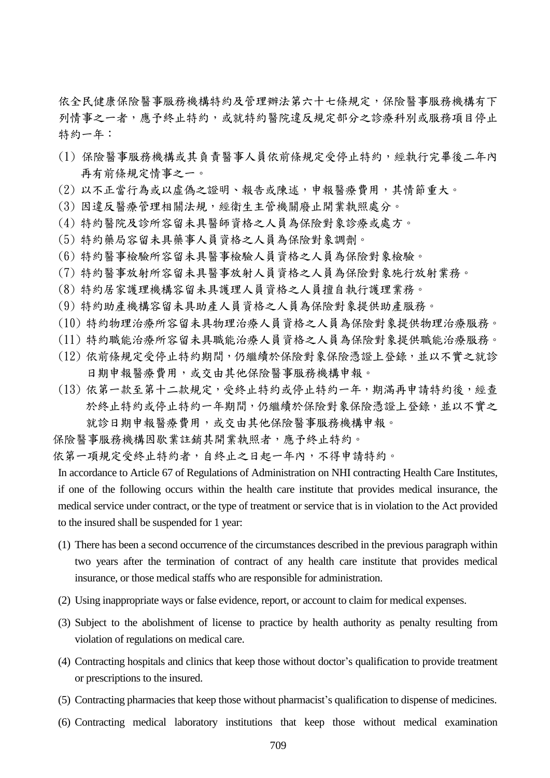依全民健康保險醫事服務機構特約及管理辦法第六十七條規定,保險醫事服務機構有下 列情事之一者,應予終止特約,或就特約醫院違反規定部分之診療科別或服務項目停止 特約一年:

- (1) 保險醫事服務機構或其負責醫事人員依前條規定受停止特約,經執行完畢後二年內 再有前條規定情事之一。
- (2) 以不正當行為或以虛偽之證明、報告或陳述,申報醫療費用,其情節重大。
- (3) 因違反醫療管理相關法規,經衛生主管機關廢止開業執照處分。
- (4) 特約醫院及診所容留未具醫師資格之人員為保險對象診療或處方。
- (5) 特約藥局容留未具藥事人員資格之人員為保險對象調劑。
- (6) 特約醫事檢驗所容留未具醫事檢驗人員資格之人員為保險對象檢驗。
- (7) 特約醫事放射所容留未具醫事放射人員資格之人員為保險對象施行放射業務。
- (8) 特約居家護理機構容留未具護理人員資格之人員擅自執行護理業務。
- (9) 特約助產機構容留未具助產人員資格之人員為保險對象提供助產服務。
- (10) 特約物理治療所容留未具物理治療人員資格之人員為保險對象提供物理治療服務。
- (11) 特約職能治療所容留未具職能治療人員資格之人員為保險對象提供職能治療服務。
- (12) 依前條規定受停止特約期間,仍繼續於保險對象保險憑證上登錄,並以不實之就診 日期申報醫療費用,或交由其他保險醫事服務機構申報。
- (13) 依第一款至第十二款規定,受終止特約或停止特約一年,期滿再申請特約後,經查 於終止特約或停止特約一年期間,仍繼續於保險對象保險憑證上登錄,並以不實之 就診日期申報醫療費用,或交由其他保險醫事服務機構申報。
- 保險醫事服務機構因歇業註銷其開業執照者,應予終止特約。

依第一項規定受終止特約者,自終止之日起一年內,不得申請特約。

In accordance to Article 67 of Regulations of Administration on NHI contracting Health Care Institutes, if one of the following occurs within the health care institute that provides medical insurance, the medical service under contract, or the type of treatment or service that is in violation to the Act provided to the insured shall be suspended for 1 year:

- (1) There has been a second occurrence of the circumstances described in the previous paragraph within two years after the termination of contract of any health care institute that provides medical insurance, or those medical staffs who are responsible for administration.
- (2) Using inappropriate ways or false evidence, report, or account to claim for medical expenses.
- (3) Subject to the abolishment of license to practice by health authority as penalty resulting from violation of regulations on medical care.
- (4) Contracting hospitals and clinics that keep those without doctor's qualification to provide treatment or prescriptions to the insured.
- (5) Contracting pharmacies that keep those without pharmacist's qualification to dispense of medicines.
- (6) Contracting medical laboratory institutions that keep those without medical examination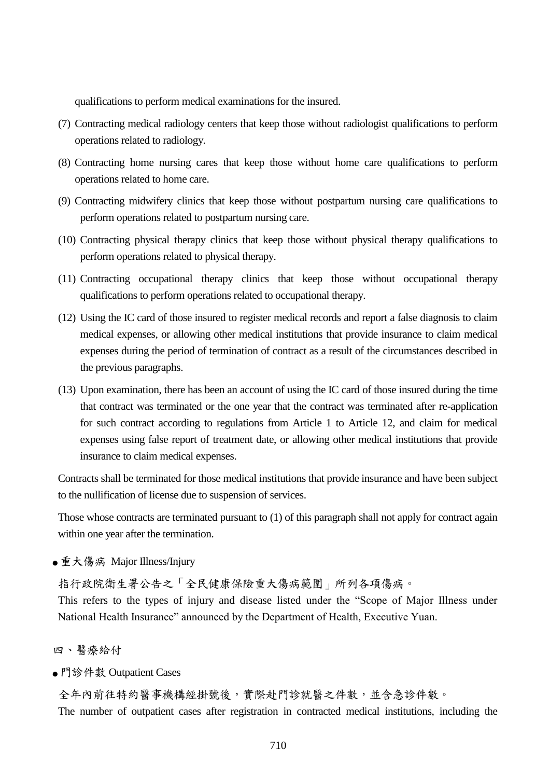qualifications to perform medical examinations for the insured.

- (7) Contracting medical radiology centers that keep those without radiologist qualifications to perform operations related to radiology.
- (8) Contracting home nursing cares that keep those without home care qualifications to perform operations related to home care.
- (9) Contracting midwifery clinics that keep those without postpartum nursing care qualifications to perform operations related to postpartum nursing care.
- (10) Contracting physical therapy clinics that keep those without physical therapy qualifications to perform operations related to physical therapy.
- (11) Contracting occupational therapy clinics that keep those without occupational therapy qualifications to perform operations related to occupational therapy.
- (12) Using the IC card of those insured to register medical records and report a false diagnosis to claim medical expenses, or allowing other medical institutions that provide insurance to claim medical expenses during the period of termination of contract as a result of the circumstances described in the previous paragraphs.
- (13) Upon examination, there has been an account of using the IC card of those insured during the time that contract was terminated or the one year that the contract was terminated after re-application for such contract according to regulations from Article 1 to Article 12, and claim for medical expenses using false report of treatment date, or allowing other medical institutions that provide insurance to claim medical expenses.

Contracts shall be terminated for those medical institutions that provide insurance and have been subject to the nullification of license due to suspension of services.

Those whose contracts are terminated pursuant to (1) of this paragraph shall not apply for contract again within one year after the termination.

● 重大傷病 Major Illness/Injury

指行政院衛生署公告之「全民健康保險重大傷病範圍」所列各項傷病。

This refers to the types of injury and disease listed under the "Scope of Major Illness under National Health Insurance" announced by the Department of Health, Executive Yuan.

四、醫療給付

● 門診件數 Outpatient Cases

全年內前往特約醫事機構經掛號後,實際赴門診就醫之件數,並含急診件數。 The number of outpatient cases after registration in contracted medical institutions, including the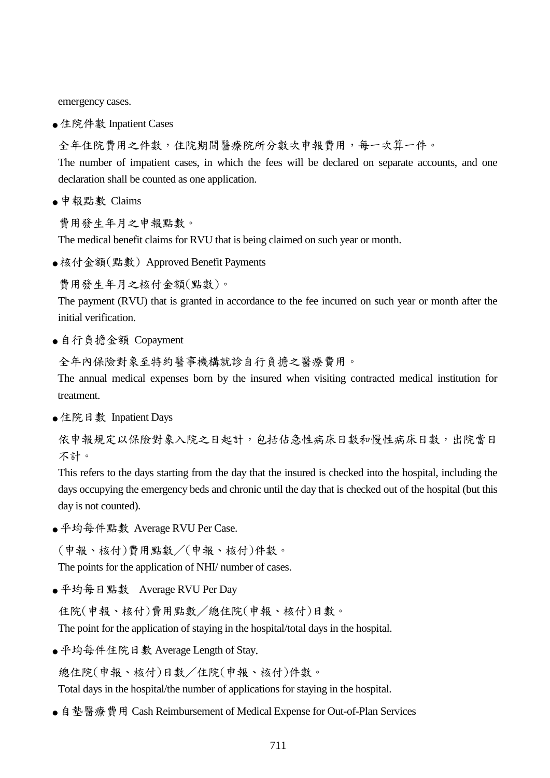emergency cases.

● 住院件數 Inpatient Cases

全年住院費用之件數,住院期間醫療院所分數次申報費用,每一次算一件。

The number of impatient cases, in which the fees will be declared on separate accounts, and one declaration shall be counted as one application.

● 申報點數 Claims

費用發生年月之申報點數。

The medical benefit claims for RVU that is being claimed on such year or month.

● 核付金額(點數) Approved Benefit Payments

費用發生年月之核付金額(點數)。

The payment (RVU) that is granted in accordance to the fee incurred on such year or month after the initial verification.

● 自行負擔金額 Copayment

全年內保險對象至特約醫事機構就診自行負擔之醫療費用。

The annual medical expenses born by the insured when visiting contracted medical institution for treatment.

● 住院日數 Inpatient Days

依申報規定以保險對象入院之日起計,包括佔急性病床日數和慢性病床日數,出院當日 不計。

This refers to the days starting from the day that the insured is checked into the hospital, including the days occupying the emergency beds and chronic until the day that is checked out of the hospital (but this day is not counted).

● 帄均每件點數 Average RVU Per Case.

(申報、核付)費用點數/(申報、核付)件數。

The points for the application of NHI/ number of cases.

● 帄均每日點數 Average RVU Per Day

住院(申報、核付)費用點數/總住院(申報、核付)日數。

The point for the application of staying in the hospital/total days in the hospital.

● 帄均每件住院日數 Average Length of Stay.

總住院(申報、核付)日數/住院(申報、核付)件數。

Total days in the hospital/the number of applications for staying in the hospital.

● 自墊醫療費用 Cash Reimbursement of Medical Expense for Out-of-Plan Services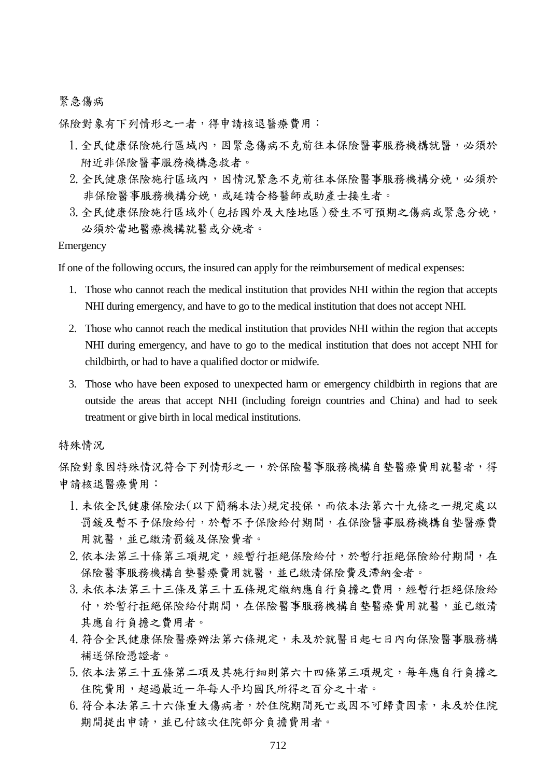### 緊急傷病

保險對象有下列情形之一者,得申請核退醫療費用:

- 1. 全民健康保險施行區域內,因緊急傷病不克前往本保險醫事服務機構就醫,必須於 附近非保險醫事服務機構急救者。
- 2.全民健康保險施行區域內,因情況緊急不克前往本保險醫事服務機構分娩,必須於 非保險醫事服務機構分娩,或延請合格醫師或助產士接生者。
- 3.全民健康保險施行區域外(包括國外及大陸地區)發生不可預期之傷病或緊急分娩, 必須於當地醫療機構就醫或分娩者。

Emergency

If one of the following occurs, the insured can apply for the reimbursement of medical expenses:

- 1. Those who cannot reach the medical institution that provides NHI within the region that accepts NHI during emergency, and have to go to the medical institution that does not accept NHI.
- 2. Those who cannot reach the medical institution that provides NHI within the region that accepts NHI during emergency, and have to go to the medical institution that does not accept NHI for childbirth, or had to have a qualified doctor or midwife.
- 3. Those who have been exposed to unexpected harm or emergency childbirth in regions that are outside the areas that accept NHI (including foreign countries and China) and had to seek treatment or give birth in local medical institutions.

特殊情況

保險對象因特殊情況符合下列情形之一,於保險醫事服務機構自墊醫療費用就醫者,得 申請核退醫療費用:

- 1.未依全民健康保險法(以下簡稱本法)規定投保,而依本法第六十九條之一規定處以 罰鍰及暫不予保險給付,於暫不予保險給付期間,在保險醫事服務機構自墊醫療費 用就醫,並已繳清罰鍰及保險費者。
- 2.依本法第三十條第三項規定,經暫行拒絕保險給付,於暫行拒絕保險給付期間,在 保險醫事服務機構自墊醫療費用就醫,並已繳清保險費及滯納金者。
- 3.未依本法第三十三條及第三十五條規定繳納應自行負擔之費用,經暫行拒絕保險給 付,於暫行拒絕保險給付期間,在保險醫事服務機構自墊醫療費用就醫,並已繳清 其應自行負擔之費用者。
- 4. 符合全民健康保險醫療辦法第六條規定,未及於就醫日起七日內向保險醫事服務構 補送保險憑證者。
- 5.依本法第三十五條第二項及其施行細則第六十四條第三項規定,每年應自行負擔之 住院費用,超過最近一年每人平均國民所得之百分之十者。
- 6. 符合本法第三十六條重大傷病者,於住院期間死亡或因不可歸責因素,未及於住院 期間提出申請,並已付該次住院部分負擔費用者。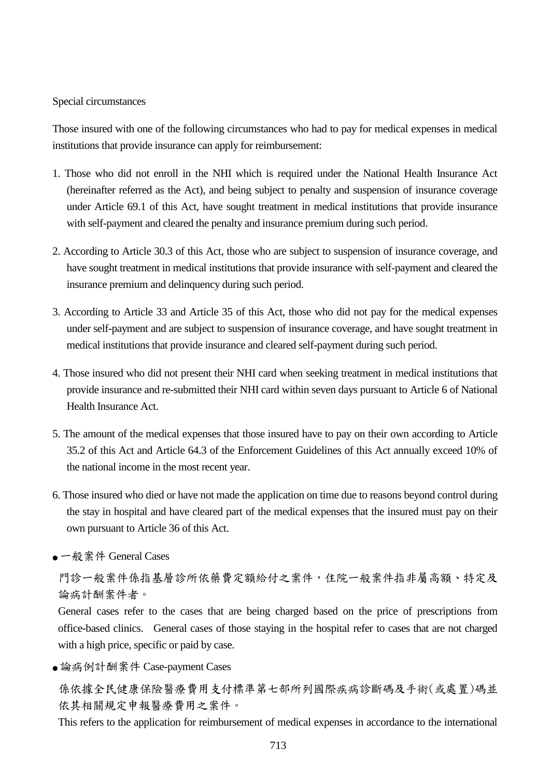#### Special circumstances

Those insured with one of the following circumstances who had to pay for medical expenses in medical institutions that provide insurance can apply for reimbursement:

- 1. Those who did not enroll in the NHI which is required under the National Health Insurance Act (hereinafter referred as the Act), and being subject to penalty and suspension of insurance coverage under Article 69.1 of this Act, have sought treatment in medical institutions that provide insurance with self-payment and cleared the penalty and insurance premium during such period.
- 2. According to Article 30.3 of this Act, those who are subject to suspension of insurance coverage, and have sought treatment in medical institutions that provide insurance with self-payment and cleared the insurance premium and delinquency during such period.
- 3. According to Article 33 and Article 35 of this Act, those who did not pay for the medical expenses under self-payment and are subject to suspension of insurance coverage, and have sought treatment in medical institutions that provide insurance and cleared self-payment during such period.
- 4. Those insured who did not present their NHI card when seeking treatment in medical institutions that provide insurance and re-submitted their NHI card within seven days pursuant to Article 6 of National Health Insurance Act.
- 5. The amount of the medical expenses that those insured have to pay on their own according to Article 35.2 of this Act and Article 64.3 of the Enforcement Guidelines of this Act annually exceed 10% of the national income in the most recent year.
- 6. Those insured who died or have not made the application on time due to reasons beyond control during the stay in hospital and have cleared part of the medical expenses that the insured must pay on their own pursuant to Article 36 of this Act.
- 一般案件 General Cases

門診一般案件係指基層診所依藥費定額給付之案件,住院一般案件指非屬高額、特定及 論病計酬案件者。

General cases refer to the cases that are being charged based on the price of prescriptions from office-based clinics. General cases of those staying in the hospital refer to cases that are not charged with a high price, specific or paid by case.

● 論病例計酬案件 Case-payment Cases

係依據全民健康保險醫療費用支付標準第七部所列國際疾病診斷碼及手術(或處置)碼並 依其相關規定申報醫療費用之案件。

This refers to the application for reimbursement of medical expenses in accordance to the international